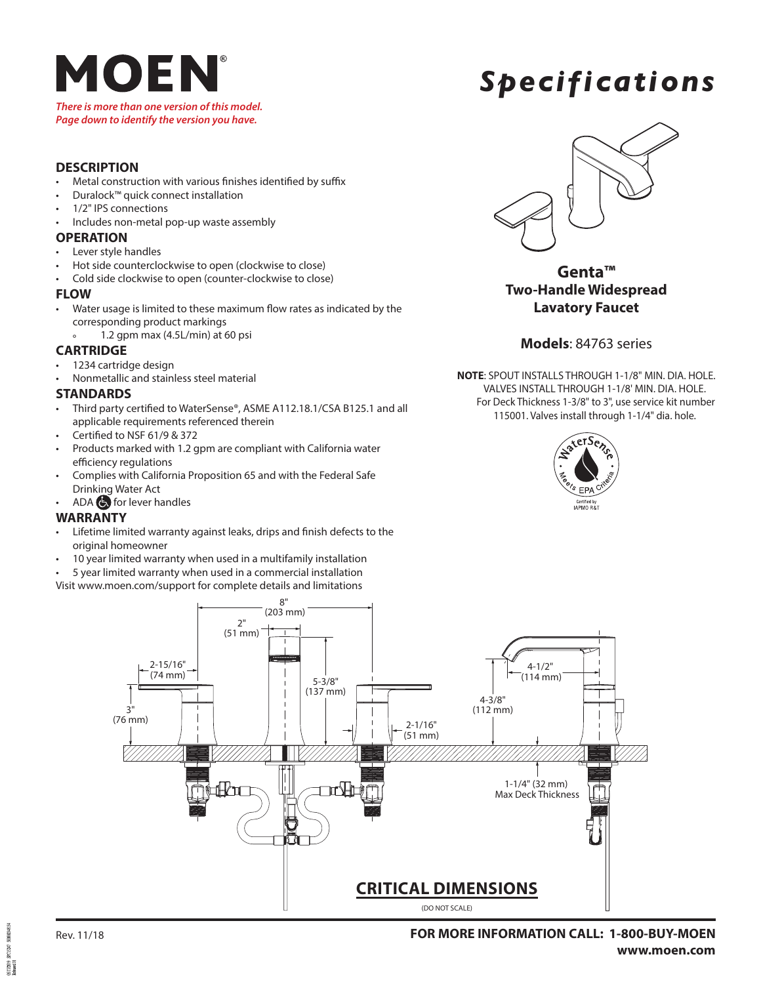

#### *There is more than one version of this model. Page down to identify the version you have.*

## *Specifications*

### **DESCRIPTION**

- Metal construction with various finishes identified by suffix
- Duralock™ quick connect installation
- 1/2" IPS connections
- Includes non-metal pop-up waste assembly

### **OPERATION**

- Lever style handles
- Hot side counterclockwise to open (clockwise to close)
- Cold side clockwise to open (counter-clockwise to close)

### **FLOW**

- Water usage is limited to these maximum flow rates as indicated by the corresponding product markings
	- ° 1.2 gpm max (4.5L/min) at 60 psi

### **CARTRIDGE**

- 1234 cartridge design
- Nonmetallic and stainless steel material

### **STANDARDS**

- Third party certified to WaterSense®, ASME A112.18.1/CSA B125.1 and all applicable requirements referenced therein
- Certified to NSF 61/9 & 372
- Products marked with 1.2 gpm are compliant with California water efficiency regulations
- Complies with California Proposition 65 and with the Federal Safe Drinking Water Act
- ADA  $\bigodot$  for lever handles

### **WARRANTY**

- Lifetime limited warranty against leaks, drips and finish defects to the original homeowner
- 10 year limited warranty when used in a multifamily installation
- 5 year limited warranty when used in a commercial installation

Visit www.moen.com/support for complete details and limitations



**Genta™ Two-Handle Widespread Lavatory Faucet**

### **Models**: 84763 series

**NOTE**: SPOUT INSTALLS THROUGH 1-1/8" MIN. DIA. HOLE. VALVES INSTALL THROUGH 1-1/8' MIN. DIA. HOLE. For Deck Thickness 1-3/8" to 3", use service kit number 115001. Valves install through 1-1/4" dia. hole.





symmetrs. **RESIDE** 15.17.2019<br>Refereed 01